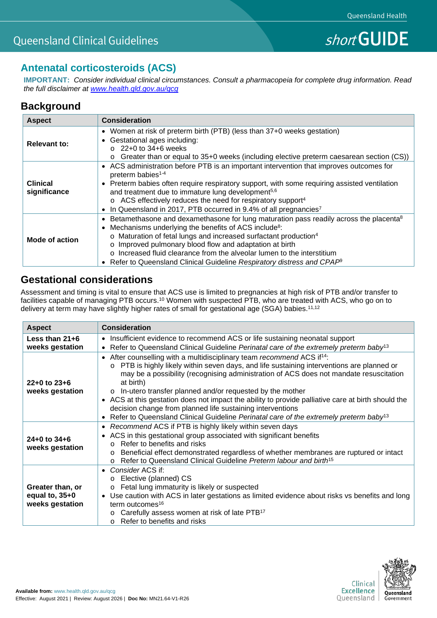## **Antenatal corticosteroids (ACS)**

**IMPORTANT:** *Consider individual clinical circumstances. Consult a pharmacopeia for complete drug information. Read the full disclaimer at [www.health.qld.gov.au/qcg](http://www.health.qld.gov.au/qcg)*

## **Background**

| <b>Aspect</b>                   | <b>Consideration</b>                                                                                                                                                                                                                                                                                                                                                                                                                                                                                                    |
|---------------------------------|-------------------------------------------------------------------------------------------------------------------------------------------------------------------------------------------------------------------------------------------------------------------------------------------------------------------------------------------------------------------------------------------------------------------------------------------------------------------------------------------------------------------------|
| <b>Relevant to:</b>             | • Women at risk of preterm birth (PTB) (less than 37+0 weeks gestation)<br>Gestational ages including:<br>$\bullet$<br>$\circ$ 22+0 to 34+6 weeks<br>Greater than or equal to 35+0 weeks (including elective preterm caesarean section (CS))<br>$\circ$                                                                                                                                                                                                                                                                 |
| <b>Clinical</b><br>significance | • ACS administration before PTB is an important intervention that improves outcomes for<br>preterm babies <sup>1-4</sup><br>Preterm babies often require respiratory support, with some requiring assisted ventilation<br>$\bullet$<br>and treatment due to immature lung development <sup>5,6</sup><br>o ACS effectively reduces the need for respiratory support <sup>4</sup><br>In Queensland in 2017, PTB occurred in 9.4% of all pregnancies <sup>7</sup><br>$\bullet$                                             |
| Mode of action                  | Betamethasone and dexamethasone for lung maturation pass readily across the placenta <sup>8</sup><br>$\bullet$<br>Mechanisms underlying the benefits of ACS include <sup>8</sup> :<br>$\bullet$<br>o Maturation of fetal lungs and increased surfactant production <sup>4</sup><br>o Improved pulmonary blood flow and adaptation at birth<br>o Increased fluid clearance from the alveolar lumen to the interstitium<br>Refer to Queensland Clinical Guideline Respiratory distress and CPAP <sup>®</sup><br>$\bullet$ |

## **Gestational considerations**

Assessment and timing is vital to ensure that ACS use is limited to pregnancies at high risk of PTB and/or transfer to facilities capable of managing PTB occurs.<sup>10</sup> Women with suspected PTB, who are treated with ACS, who go on to delivery at term may have slightly higher rates of small for gestational age (SGA) babies. $^{11,12}$ 

| <b>Aspect</b>                                           | <b>Consideration</b>                                                                                                                                                                                                                                                                                                                                                                                                                                                                                                                                                                                                                                 |
|---------------------------------------------------------|------------------------------------------------------------------------------------------------------------------------------------------------------------------------------------------------------------------------------------------------------------------------------------------------------------------------------------------------------------------------------------------------------------------------------------------------------------------------------------------------------------------------------------------------------------------------------------------------------------------------------------------------------|
| Less than $21+6$<br>weeks gestation                     | • Insufficient evidence to recommend ACS or life sustaining neonatal support<br>• Refer to Queensland Clinical Guideline Perinatal care of the extremely preterm baby <sup>13</sup>                                                                                                                                                                                                                                                                                                                                                                                                                                                                  |
| $22+0$ to $23+6$<br>weeks gestation                     | • After counselling with a multidisciplinary team recommend ACS if <sup>14</sup> :<br>PTB is highly likely within seven days, and life sustaining interventions are planned or<br>$\circ$<br>may be a possibility (recognising administration of ACS does not mandate resuscitation<br>at birth)<br>o In-utero transfer planned and/or requested by the mother<br>• ACS at this gestation does not impact the ability to provide palliative care at birth should the<br>decision change from planned life sustaining interventions<br>Refer to Queensland Clinical Guideline Perinatal care of the extremely preterm baby <sup>13</sup><br>$\bullet$ |
| $24+0$ to $34+6$<br>weeks gestation                     | • Recommend ACS if PTB is highly likely within seven days<br>• ACS in this gestational group associated with significant benefits<br>Refer to benefits and risks<br>$\cap$<br>Beneficial effect demonstrated regardless of whether membranes are ruptured or intact<br>$\circ$<br>Refer to Queensland Clinical Guideline Preterm labour and birth <sup>15</sup><br>$\Omega$                                                                                                                                                                                                                                                                          |
| Greater than, or<br>equal to, $35+0$<br>weeks gestation | Consider ACS if:<br>$\bullet$<br>o Elective (planned) CS<br>Fetal lung immaturity is likely or suspected<br>$\circ$<br>Use caution with ACS in later gestations as limited evidence about risks vs benefits and long<br>term outcomes <sup>16</sup><br>Carefully assess women at risk of late PTB <sup>17</sup><br>Refer to benefits and risks<br>$\Omega$                                                                                                                                                                                                                                                                                           |

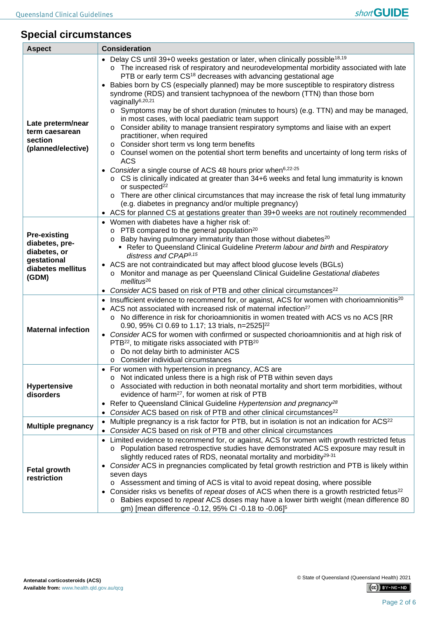# **Special circumstances**

| <b>Aspect</b>                                                                                      | <b>Consideration</b>                                                                                                                                                                                                                                                                                                                                                                                                                                                                                                                                                                                                                                                                                                                                                                                                                                                                                                                                                                                                                                                                                                                                                                                                                                                                                                                                                                                       |  |  |
|----------------------------------------------------------------------------------------------------|------------------------------------------------------------------------------------------------------------------------------------------------------------------------------------------------------------------------------------------------------------------------------------------------------------------------------------------------------------------------------------------------------------------------------------------------------------------------------------------------------------------------------------------------------------------------------------------------------------------------------------------------------------------------------------------------------------------------------------------------------------------------------------------------------------------------------------------------------------------------------------------------------------------------------------------------------------------------------------------------------------------------------------------------------------------------------------------------------------------------------------------------------------------------------------------------------------------------------------------------------------------------------------------------------------------------------------------------------------------------------------------------------------|--|--|
| Late preterm/near<br>term caesarean<br>section<br>(planned/elective)                               | Delay CS until 39+0 weeks gestation or later, when clinically possible <sup>18,19</sup><br>o The increased risk of respiratory and neurodevelopmental morbidity associated with late<br>PTB or early term CS <sup>18</sup> decreases with advancing gestational age<br>Babies born by CS (especially planned) may be more susceptible to respiratory distress<br>$\bullet$<br>syndrome (RDS) and transient tachypnoea of the newborn (TTN) than those born<br>vaginally <sup>6,20,21</sup><br>$\circ$ Symptoms may be of short duration (minutes to hours) (e.g. TTN) and may be managed,<br>in most cases, with local paediatric team support<br>Consider ability to manage transient respiratory symptoms and liaise with an expert<br>O<br>practitioner, when required<br>Consider short term vs long term benefits<br>$\circ$ Counsel women on the potential short term benefits and uncertainty of long term risks of<br><b>ACS</b><br>Consider a single course of ACS 48 hours prior when <sup>6,22-25</sup><br>$\circ$ CS is clinically indicated at greater than 34+6 weeks and fetal lung immaturity is known<br>or suspected <sup>22</sup><br>o There are other clinical circumstances that may increase the risk of fetal lung immaturity<br>(e.g. diabetes in pregnancy and/or multiple pregnancy)<br>• ACS for planned CS at gestations greater than 39+0 weeks are not routinely recommended |  |  |
| <b>Pre-existing</b><br>diabetes, pre-<br>diabetes, or<br>gestational<br>diabetes mellitus<br>(GDM) | • Women with diabetes have a higher risk of:<br>o PTB compared to the general population <sup>20</sup><br>$\circ$ Baby having pulmonary immaturity than those without diabetes <sup>20</sup><br>Refer to Queensland Clinical Guideline Preterm labour and birth and Respiratory<br>distress and CPAP <sup>9,15</sup><br>• ACS are not contraindicated but may affect blood glucose levels (BGLs)<br>o Monitor and manage as per Queensland Clinical Guideline Gestational diabetes<br>$m$ ellitus $^{26}$<br>Consider ACS based on risk of PTB and other clinical circumstances <sup>22</sup><br>٠                                                                                                                                                                                                                                                                                                                                                                                                                                                                                                                                                                                                                                                                                                                                                                                                         |  |  |
| <b>Maternal infection</b>                                                                          | Insufficient evidence to recommend for, or against, ACS for women with chorioamnionitis <sup>20</sup><br>$\bullet$<br>• ACS not associated with increased risk of maternal infection <sup>27</sup><br>o No difference in risk for chorioamnionitis in women treated with ACS vs no ACS [RR<br>0.90, 95% CI 0.69 to 1.17; 13 trials, n=2525] <sup>22</sup><br>• Consider ACS for women with confirmed or suspected chorioamnionitis and at high risk of<br>PTB <sup>22</sup> , to mitigate risks associated with PTB <sup>20</sup><br>Do not delay birth to administer ACS<br>$\circ$<br>o Consider individual circumstances                                                                                                                                                                                                                                                                                                                                                                                                                                                                                                                                                                                                                                                                                                                                                                                |  |  |
| <b>Hypertensive</b><br>disorders                                                                   | For women with hypertension in pregnancy, ACS are<br>$\bullet$<br>Not indicated unless there is a high risk of PTB within seven days<br>Associated with reduction in both neonatal mortality and short term morbidities, without<br>evidence of harm <sup>27</sup> , for women at risk of PTB<br>Refer to Queensland Clinical Guideline Hypertension and pregnancy <sup>28</sup><br>٠<br>Consider ACS based on risk of PTB and other clinical circumstances <sup>22</sup><br>٠<br>Multiple pregnancy is a risk factor for PTB, but in isolation is not an indication for ACS <sup>22</sup>                                                                                                                                                                                                                                                                                                                                                                                                                                                                                                                                                                                                                                                                                                                                                                                                                 |  |  |
| <b>Multiple pregnancy</b>                                                                          | $\bullet$<br>Consider ACS based on risk of PTB and other clinical circumstances                                                                                                                                                                                                                                                                                                                                                                                                                                                                                                                                                                                                                                                                                                                                                                                                                                                                                                                                                                                                                                                                                                                                                                                                                                                                                                                            |  |  |
| <b>Fetal growth</b><br>restriction                                                                 | Limited evidence to recommend for, or against, ACS for women with growth restricted fetus<br>o Population based retrospective studies have demonstrated ACS exposure may result in<br>slightly reduced rates of RDS, neonatal mortality and morbidity <sup>29-31</sup><br>Consider ACS in pregnancies complicated by fetal growth restriction and PTB is likely within<br>٠<br>seven days<br>$\circ$ Assessment and timing of ACS is vital to avoid repeat dosing, where possible<br>Consider risks vs benefits of repeat doses of ACS when there is a growth restricted fetus <sup>22</sup><br>o Babies exposed to repeat ACS doses may have a lower birth weight (mean difference 80<br>gm) [mean difference -0.12, 95% CI -0.18 to -0.06] <sup>5</sup>                                                                                                                                                                                                                                                                                                                                                                                                                                                                                                                                                                                                                                                  |  |  |

 $(G)$  BY-NC-ND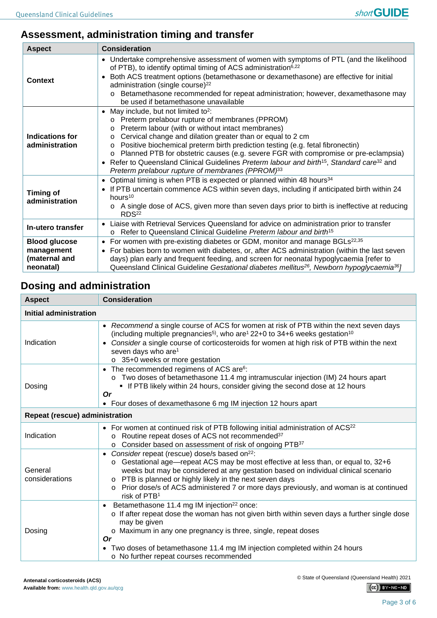# **Assessment, administration timing and transfer**

| <b>Aspect</b>                                                    | <b>Consideration</b>                                                                                                                                                                                                                                                                                                                                                                                                                                                                                                                                                                                                                |
|------------------------------------------------------------------|-------------------------------------------------------------------------------------------------------------------------------------------------------------------------------------------------------------------------------------------------------------------------------------------------------------------------------------------------------------------------------------------------------------------------------------------------------------------------------------------------------------------------------------------------------------------------------------------------------------------------------------|
| Context                                                          | • Undertake comprehensive assessment of women with symptoms of PTL (and the likelihood<br>of PTB), to identify optimal timing of ACS administration <sup>6,22</sup><br>Both ACS treatment options (betamethasone or dexamethasone) are effective for initial<br>$\bullet$<br>administration (single course) <sup>22</sup><br>Betamethasone recommended for repeat administration; however, dexamethasone may<br>$\circ$<br>be used if betamethasone unavailable                                                                                                                                                                     |
| <b>Indications for</b><br>administration                         | May include, but not limited to <sup>2</sup> :<br>$\bullet$<br>o Preterm prelabour rupture of membranes (PPROM)<br>Preterm labour (with or without intact membranes)<br>$\circ$<br>Cervical change and dilation greater than or equal to 2 cm<br>$\circ$<br>Positive biochemical preterm birth prediction testing (e.g. fetal fibronectin)<br>$\circ$<br>o Planned PTB for obstetric causes (e.g. severe FGR with compromise or pre-eclampsia)<br>Refer to Queensland Clinical Guidelines Preterm labour and birth <sup>15</sup> , Standard care <sup>32</sup> and<br>$\bullet$<br>Preterm prelabour rupture of membranes (PPROM)33 |
| <b>Timing of</b><br>administration                               | Optimal timing is when PTB is expected or planned within 48 hours <sup>34</sup><br>$\bullet$<br>If PTB uncertain commence ACS within seven days, including if anticipated birth within 24<br>$\bullet$<br>hours <sup>10</sup><br>$\circ$ A single dose of ACS, given more than seven days prior to birth is ineffective at reducing<br>RDS <sup>22</sup>                                                                                                                                                                                                                                                                            |
| In-utero transfer                                                | Liaise with Retrieval Services Queensland for advice on administration prior to transfer<br>o Refer to Queensland Clinical Guideline Preterm labour and birth <sup>15</sup>                                                                                                                                                                                                                                                                                                                                                                                                                                                         |
| <b>Blood glucose</b><br>management<br>(maternal and<br>neonatal) | • For women with pre-existing diabetes or GDM, monitor and manage BGLs <sup>22,35</sup><br>For babies born to women with diabetes, or, after ACS administration (within the last seven<br>$\bullet$<br>days) plan early and frequent feeding, and screen for neonatal hypoglycaemia [refer to<br>Queensland Clinical Guideline Gestational diabetes mellitus <sup>26</sup> , Newborn hypoglycaemia <sup>36</sup> ]                                                                                                                                                                                                                  |

# **Dosing and administration**

| <b>Aspect</b>                  | <b>Consideration</b>                                                                                                                                                                                                                                                                                                                                                                                                                        |  |  |
|--------------------------------|---------------------------------------------------------------------------------------------------------------------------------------------------------------------------------------------------------------------------------------------------------------------------------------------------------------------------------------------------------------------------------------------------------------------------------------------|--|--|
| Initial administration         |                                                                                                                                                                                                                                                                                                                                                                                                                                             |  |  |
| Indication                     | • Recommend a single course of ACS for women at risk of PTB within the next seven days<br>(including multiple pregnancies <sup>5)</sup> , who are <sup>1</sup> 22+0 to 34+6 weeks gestation <sup>10</sup><br>Consider a single course of corticosteroids for women at high risk of PTB within the next<br>seven days who are <sup>1</sup><br>o 35+0 weeks or more gestation                                                                 |  |  |
| Dosing                         | • The recommended regimens of ACS are <sup>6</sup> :<br>Two doses of betamethasone 11.4 mg intramuscular injection (IM) 24 hours apart<br>$\circ$<br>" If PTB likely within 24 hours, consider giving the second dose at 12 hours<br><b>Or</b><br>• Four doses of dexamethasone 6 mg IM injection 12 hours apart                                                                                                                            |  |  |
| Repeat (rescue) administration |                                                                                                                                                                                                                                                                                                                                                                                                                                             |  |  |
| Indication                     | • For women at continued risk of PTB following initial administration of ACS <sup>22</sup><br>Routine repeat doses of ACS not recommended <sup>37</sup><br>$\circ$<br>o Consider based on assessment of risk of ongoing PTB37                                                                                                                                                                                                               |  |  |
| General<br>considerations      | • Consider repeat (rescue) dose/s based on <sup>22</sup> :<br>Gestational age—repeat ACS may be most effective at less than, or equal to, 32+6<br>$\circ$<br>weeks but may be considered at any gestation based on individual clinical scenario<br>o PTB is planned or highly likely in the next seven days<br>Prior dose/s of ACS administered 7 or more days previously, and woman is at continued<br>$\circ$<br>risk of PTB <sup>1</sup> |  |  |
| Dosing                         | Betamethasone 11.4 mg IM injection <sup>22</sup> once:<br>$\bullet$<br>o If after repeat dose the woman has not given birth within seven days a further single dose<br>may be given<br>o Maximum in any one pregnancy is three, single, repeat doses<br>Or<br>• Two doses of betamethasone 11.4 mg IM injection completed within 24 hours<br>o No further repeat courses recommended                                                        |  |  |

© State of Queensland (Queensland Health) 2021

 $(C)$  BY-NC-ND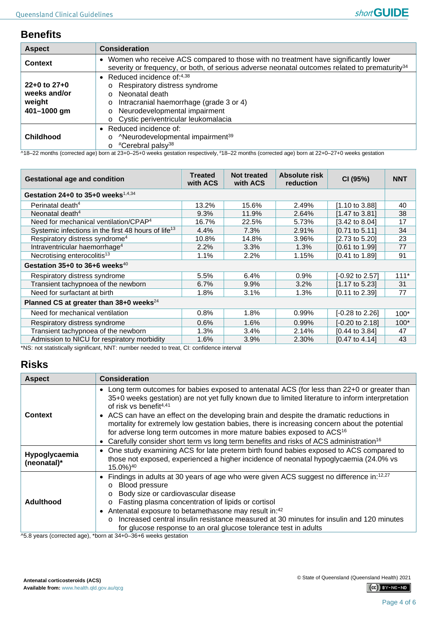### **Benefits**

| <b>Aspect</b>                                             | <b>Consideration</b>                                                                                                                                                                                                                                                                                |
|-----------------------------------------------------------|-----------------------------------------------------------------------------------------------------------------------------------------------------------------------------------------------------------------------------------------------------------------------------------------------------|
| <b>Context</b>                                            | Women who receive ACS compared to those with no treatment have significantly lower<br>severity or frequency, or both, of serious adverse neonatal outcomes related to prematurity <sup>34</sup>                                                                                                     |
| $22+0$ to $27+0$<br>weeks and/or<br>weight<br>401-1000 gm | • Reduced incidence of: $4,38$<br>Respiratory distress syndrome<br>$\circ$<br>Neonatal death<br>$\Omega$<br>Intracranial haemorrhage (grade 3 or 4)<br>$\circ$<br>Neurodevelopmental impairment<br>$\circ$<br>Cystic periventricular leukomalacia<br>$\circ$                                        |
| <b>Childhood</b>                                          | $\bullet$ Reduced incidence of:<br><sup>^</sup> Neurodevelopmental impairment <sup>39</sup><br>$\circ$<br>#Cerebral palsy <sup>38</sup><br>$\circ$<br>^18-22 months (corrected age) born at 23+0-25+0 weeks gestation respectively, #18-22 months (corrected age) born at 22+0-27+0 weeks gestation |

| <b>Gestational age and condition</b>                            | <b>Treated</b><br>with ACS | <b>Not treated</b><br>with ACS | <b>Absolute risk</b><br>reduction | CI (95%)                   | <b>NNT</b> |
|-----------------------------------------------------------------|----------------------------|--------------------------------|-----------------------------------|----------------------------|------------|
| Gestation $24+0$ to $35+0$ weeks <sup>1,4,34</sup>              |                            |                                |                                   |                            |            |
| Perinatal death <sup>4</sup>                                    | 13.2%                      | 15.6%                          | 2.49%                             | [1.10 to 3.88]             | 40         |
| Neonatal death <sup>4</sup>                                     | 9.3%                       | 11.9%                          | 2.64%                             | $[1.47 \text{ to } 3.81]$  | 38         |
| Need for mechanical ventilation/CPAP <sup>4</sup>               | 16.7%                      | 22.5%                          | 5.73%                             | $[3.42 \text{ to } 8.04]$  | 17         |
| Systemic infections in the first 48 hours of life <sup>13</sup> | 4.4%                       | 7.3%                           | 2.91%                             | $[0.71 \text{ to } 5.11]$  | 34         |
| Respiratory distress syndrome <sup>4</sup>                      | 10.8%                      | 14.8%                          | 3.96%                             | $[2.73 \text{ to } 5.20]$  | 23         |
| Intraventricular haemorrhage <sup>4</sup>                       | 2.2%                       | 3.3%                           | 1.3%                              | $[0.61 \text{ to } 1.99]$  | 77         |
| Necrotising enterocolitis <sup>13</sup>                         | 1.1%                       | 2.2%                           | 1.15%                             | $[0.41 \text{ to } 1.89]$  | 91         |
| Gestation $35+0$ to $36+6$ weeks <sup>40</sup>                  |                            |                                |                                   |                            |            |
| Respiratory distress syndrome                                   | 5.5%                       | 6.4%                           | 0.9%                              | $[-0.92 \text{ to } 2.57]$ | $111*$     |
| Transient tachypnoea of the newborn                             | 6.7%                       | $9.9\%$                        | 3.2%                              | [1.17 to 5.23]             | 31         |
| Need for surfactant at birth                                    | 1.8%                       | 3.1%                           | 1.3%                              | $[0.11$ to 2.39]           | 77         |
| Planned CS at greater than 38+0 weeks <sup>24</sup>             |                            |                                |                                   |                            |            |
| Need for mechanical ventilation                                 | 0.8%                       | $1.8\%$                        | 0.99%                             | $[-0.28 \text{ to } 2.26]$ | $100*$     |
| Respiratory distress syndrome                                   | 0.6%                       | 1.6%                           | 0.99%                             | [-0.20 to 2.18]            | $100*$     |
| Transient tachypnoea of the newborn                             | 1.3%                       | 3.4%                           | 2.14%                             | $[0.44 \text{ to } 3.84]$  | 47         |
| Admission to NICU for respiratory morbidity                     | 1.6%                       | 3.9%                           | 2.30%                             | [0.47 to 4.14]             | 43         |

\*NS: not statistically significant, NNT: number needed to treat, CI: confidence interval

### **Risks**

| <b>Aspect</b>                | <b>Consideration</b>                                                                                                                                                                                                                                                                                                                                                                                                                                                                                                                                                                                                         |
|------------------------------|------------------------------------------------------------------------------------------------------------------------------------------------------------------------------------------------------------------------------------------------------------------------------------------------------------------------------------------------------------------------------------------------------------------------------------------------------------------------------------------------------------------------------------------------------------------------------------------------------------------------------|
| <b>Context</b>               | • Long term outcomes for babies exposed to antenatal ACS (for less than 22+0 or greater than<br>35+0 weeks gestation) are not yet fully known due to limited literature to inform interpretation<br>of risk vs benefit <sup>4,41</sup><br>• ACS can have an effect on the developing brain and despite the dramatic reductions in<br>mortality for extremely low gestation babies, there is increasing concern about the potential<br>for adverse long term outcomes in more mature babies exposed to ACS <sup>16</sup><br>Carefully consider short term vs long term benefits and risks of ACS administration <sup>16</sup> |
| Hypoglycaemia<br>(neonatal)* | One study examining ACS for late preterm birth found babies exposed to ACS compared to<br>٠<br>those not exposed, experienced a higher incidence of neonatal hypoglycaemia (24.0% vs<br>$15.0\%$ <sup>40</sup>                                                                                                                                                                                                                                                                                                                                                                                                               |
| <b>Adulthood</b>             | • Findings in adults at 30 years of age who were given ACS suggest no difference in:12,27<br><b>Blood pressure</b><br>$\circ$<br>Body size or cardiovascular disease<br>$\circ$<br>Fasting plasma concentration of lipids or cortisol<br>$\circ$<br>Antenatal exposure to betamethasone may result in:42<br>$\bullet$<br>Increased central insulin resistance measured at 30 minutes for insulin and 120 minutes<br>$\cap$<br>for glucose response to an oral glucose tolerance test in adults                                                                                                                               |

^5.8 years (corrected age), \*born at 34+0–36+6 weeks gestation

 $(C)$  BY-NC-ND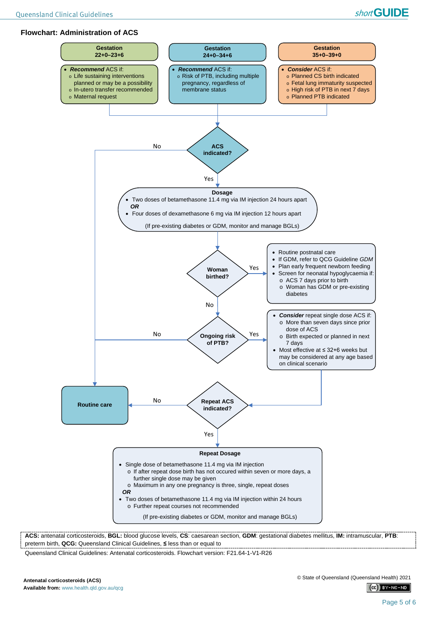#### **Flowchart: Administration of ACS**



**ACS:** antenatal corticosteroids, **BGL:** blood glucose levels, **CS**: caesarean section, **GDM**: gestational diabetes mellitus, **IM:** intramuscular, **PTB**: preterm birth, **QCG:** Queensland Clinical Guidelines, **≤** less than or equal to

Queensland Clinical Guidelines: Antenatal corticosteroids. Flowchart version: F21.64-1-V1-R26

 $(C<sub>c</sub>)$  BY-NC-ND